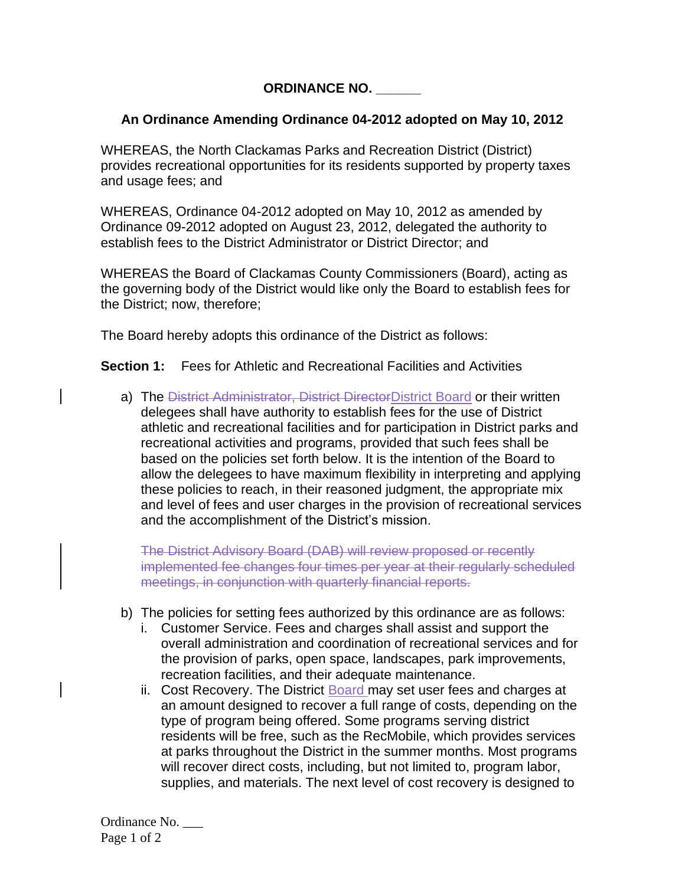**ORDINANCE NO. \_\_\_\_\_\_**

## **An Ordinance Amending Ordinance 04-2012 adopted on May 10, 2012**

WHEREAS, the North Clackamas Parks and Recreation District (District) provides recreational opportunities for its residents supported by property taxes and usage fees; and

WHEREAS, Ordinance 04-2012 adopted on May 10, 2012 as amended by Ordinance 09-2012 adopted on August 23, 2012, delegated the authority to establish fees to the District Administrator or District Director; and

WHEREAS the Board of Clackamas County Commissioners (Board), acting as the governing body of the District would like only the Board to establish fees for the District; now, therefore;

The Board hereby adopts this ordinance of the District as follows:

**Section 1:** Fees for Athletic and Recreational Facilities and Activities

a) The District Administrator, District DirectorDistrict Board or their written delegees shall have authority to establish fees for the use of District athletic and recreational facilities and for participation in District parks and recreational activities and programs, provided that such fees shall be based on the policies set forth below. It is the intention of the Board to allow the delegees to have maximum flexibility in interpreting and applying these policies to reach, in their reasoned judgment, the appropriate mix and level of fees and user charges in the provision of recreational services and the accomplishment of the District's mission.

The District Advisory Board (DAB) will review proposed or recently implemented fee changes four times per year at their regularly scheduled meetings, in conjunction with quarterly financial reports.

- b) The policies for setting fees authorized by this ordinance are as follows:
	- i. Customer Service. Fees and charges shall assist and support the overall administration and coordination of recreational services and for the provision of parks, open space, landscapes, park improvements, recreation facilities, and their adequate maintenance.
	- ii. Cost Recovery. The District Board may set user fees and charges at an amount designed to recover a full range of costs, depending on the type of program being offered. Some programs serving district residents will be free, such as the RecMobile, which provides services at parks throughout the District in the summer months. Most programs will recover direct costs, including, but not limited to, program labor, supplies, and materials. The next level of cost recovery is designed to